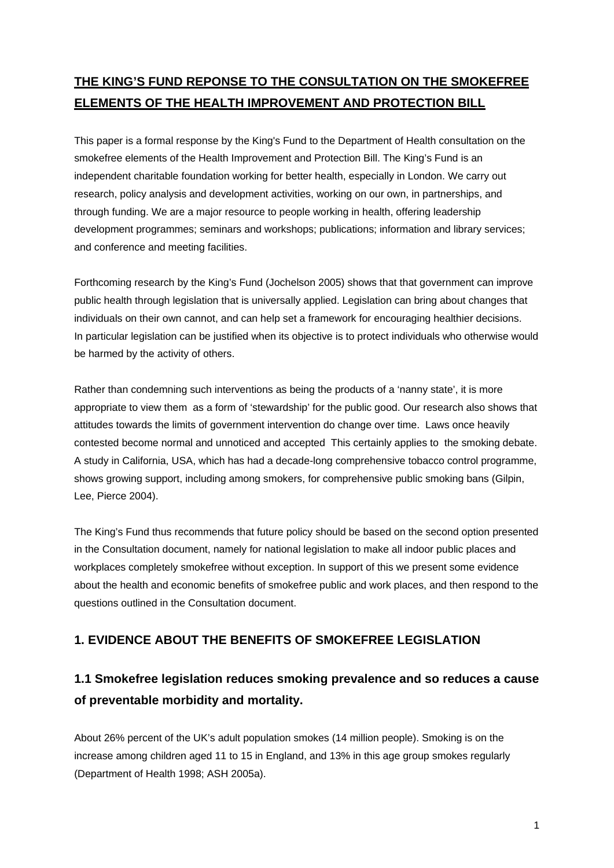# **THE KING'S FUND REPONSE TO THE CONSULTATION ON THE SMOKEFREE ELEMENTS OF THE HEALTH IMPROVEMENT AND PROTECTION BILL**

This paper is a formal response by the King's Fund to the Department of Health consultation on the smokefree elements of the Health Improvement and Protection Bill. The King's Fund is an independent charitable foundation working for better health, especially in London. We carry out research, policy analysis and development activities, working on our own, in partnerships, and through funding. We are a major resource to people working in health, offering leadership development programmes; seminars and workshops; publications; information and library services; and conference and meeting facilities.

Forthcoming research by the King's Fund (Jochelson 2005) shows that that government can improve public health through legislation that is universally applied. Legislation can bring about changes that individuals on their own cannot, and can help set a framework for encouraging healthier decisions. In particular legislation can be justified when its objective is to protect individuals who otherwise would be harmed by the activity of others.

Rather than condemning such interventions as being the products of a 'nanny state', it is more appropriate to view them as a form of 'stewardship' for the public good. Our research also shows that attitudes towards the limits of government intervention do change over time. Laws once heavily contested become normal and unnoticed and accepted This certainly applies to the smoking debate. A study in California, USA, which has had a decade-long comprehensive tobacco control programme, shows growing support, including among smokers, for comprehensive public smoking bans (Gilpin, Lee, Pierce 2004).

The King's Fund thus recommends that future policy should be based on the second option presented in the Consultation document, namely for national legislation to make all indoor public places and workplaces completely smokefree without exception. In support of this we present some evidence about the health and economic benefits of smokefree public and work places, and then respond to the questions outlined in the Consultation document.

## **1. EVIDENCE ABOUT THE BENEFITS OF SMOKEFREE LEGISLATION**

# **1.1 Smokefree legislation reduces smoking prevalence and so reduces a cause of preventable morbidity and mortality.**

About 26% percent of the UK's adult population smokes (14 million people). Smoking is on the increase among children aged 11 to 15 in England, and 13% in this age group smokes regularly (Department of Health 1998; ASH 2005a).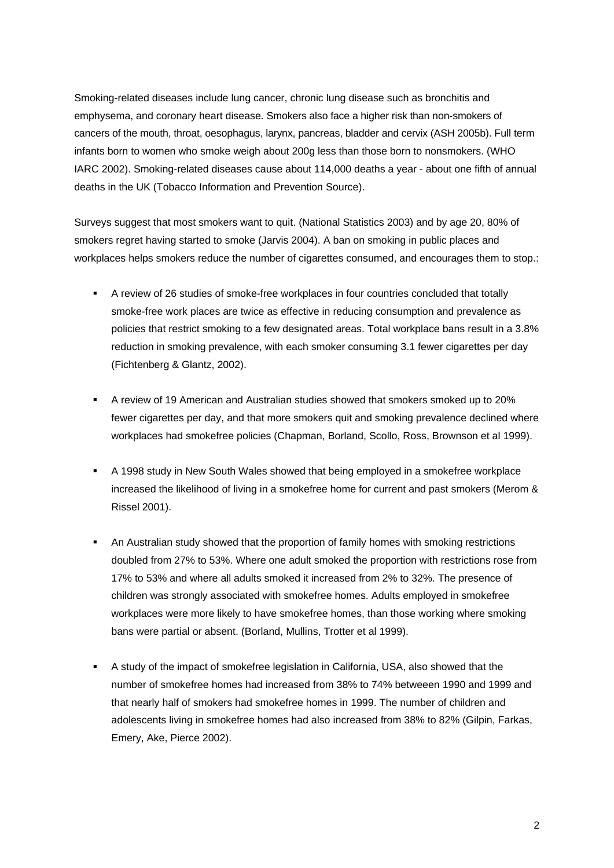Smoking-related diseases include lung cancer, chronic lung disease such as bronchitis and emphysema, and coronary heart disease. Smokers also face a higher risk than non-smokers of cancers of the mouth, throat, oesophagus, larynx, pancreas, bladder and cervix (ASH 2005b). Full term infants born to women who smoke weigh about 200g less than those born to nonsmokers. (WHO IARC 2002). Smoking-related diseases cause about 114,000 deaths a year - about one fifth of annual deaths in the UK (Tobacco Information and Prevention Source).

Surveys suggest that most smokers want to quit. (National Statistics 2003) and by age 20, 80% of smokers regret having started to smoke (Jarvis 2004). A ban on smoking in public places and workplaces helps smokers reduce the number of cigarettes consumed, and encourages them to stop.:

- A review of 26 studies of smoke-free workplaces in four countries concluded that totally smoke-free work places are twice as effective in reducing consumption and prevalence as policies that restrict smoking to a few designated areas. Total workplace bans result in a 3.8% reduction in smoking prevalence, with each smoker consuming 3.1 fewer cigarettes per day (Fichtenberg & Glantz, 2002).
- A review of 19 American and Australian studies showed that smokers smoked up to 20% fewer cigarettes per day, and that more smokers quit and smoking prevalence declined where workplaces had smokefree policies (Chapman, Borland, Scollo, Ross, Brownson et al 1999).
- A 1998 study in New South Wales showed that being employed in a smokefree workplace increased the likelihood of living in a smokefree home for current and past smokers (Merom & Rissel 2001).
- An Australian study showed that the proportion of family homes with smoking restrictions doubled from 27% to 53%. Where one adult smoked the proportion with restrictions rose from 17% to 53% and where all adults smoked it increased from 2% to 32%. The presence of children was strongly associated with smokefree homes. Adults employed in smokefree workplaces were more likely to have smokefree homes, than those working where smoking bans were partial or absent. (Borland, Mullins, Trotter et al 1999).
- A study of the impact of smokefree legislation in California, USA, also showed that the number of smokefree homes had increased from 38% to 74% betweeen 1990 and 1999 and that nearly half of smokers had smokefree homes in 1999. The number of children and adolescents living in smokefree homes had also increased from 38% to 82% (Gilpin, Farkas, Emery, Ake, Pierce 2002).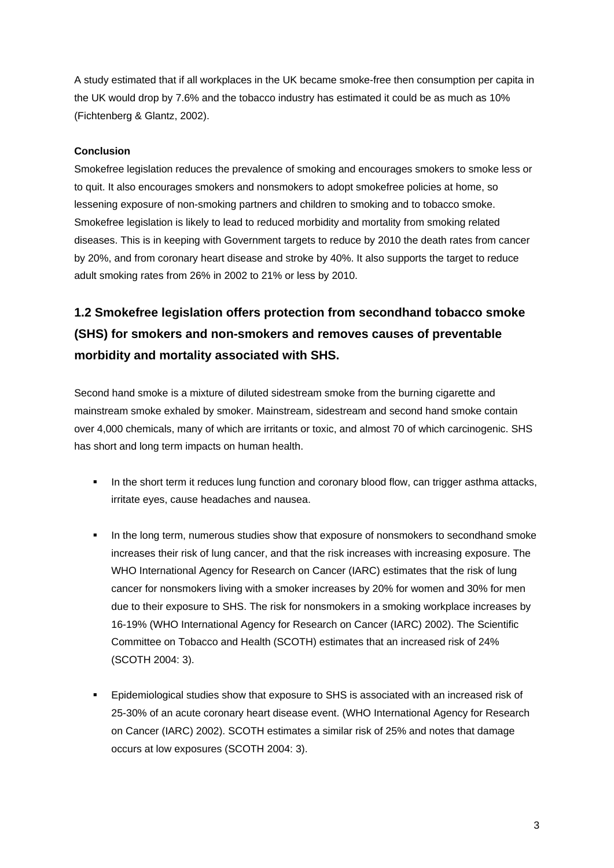A study estimated that if all workplaces in the UK became smoke-free then consumption per capita in the UK would drop by 7.6% and the tobacco industry has estimated it could be as much as 10% (Fichtenberg & Glantz, 2002).

### **Conclusion**

Smokefree legislation reduces the prevalence of smoking and encourages smokers to smoke less or to quit. It also encourages smokers and nonsmokers to adopt smokefree policies at home, so lessening exposure of non-smoking partners and children to smoking and to tobacco smoke. Smokefree legislation is likely to lead to reduced morbidity and mortality from smoking related diseases. This is in keeping with Government targets to reduce by 2010 the death rates from cancer by 20%, and from coronary heart disease and stroke by 40%. It also supports the target to reduce adult smoking rates from 26% in 2002 to 21% or less by 2010.

# **1.2 Smokefree legislation offers protection from secondhand tobacco smoke (SHS) for smokers and non-smokers and removes causes of preventable morbidity and mortality associated with SHS.**

Second hand smoke is a mixture of diluted sidestream smoke from the burning cigarette and mainstream smoke exhaled by smoker. Mainstream, sidestream and second hand smoke contain over 4,000 chemicals, many of which are irritants or toxic, and almost 70 of which carcinogenic. SHS has short and long term impacts on human health.

- In the short term it reduces lung function and coronary blood flow, can trigger asthma attacks, irritate eyes, cause headaches and nausea.
- In the long term, numerous studies show that exposure of nonsmokers to secondhand smoke increases their risk of lung cancer, and that the risk increases with increasing exposure. The WHO International Agency for Research on Cancer (IARC) estimates that the risk of lung cancer for nonsmokers living with a smoker increases by 20% for women and 30% for men due to their exposure to SHS. The risk for nonsmokers in a smoking workplace increases by 16-19% (WHO International Agency for Research on Cancer (IARC) 2002). The Scientific Committee on Tobacco and Health (SCOTH) estimates that an increased risk of 24% (SCOTH 2004: 3).
- Epidemiological studies show that exposure to SHS is associated with an increased risk of 25-30% of an acute coronary heart disease event. (WHO International Agency for Research on Cancer (IARC) 2002). SCOTH estimates a similar risk of 25% and notes that damage occurs at low exposures (SCOTH 2004: 3).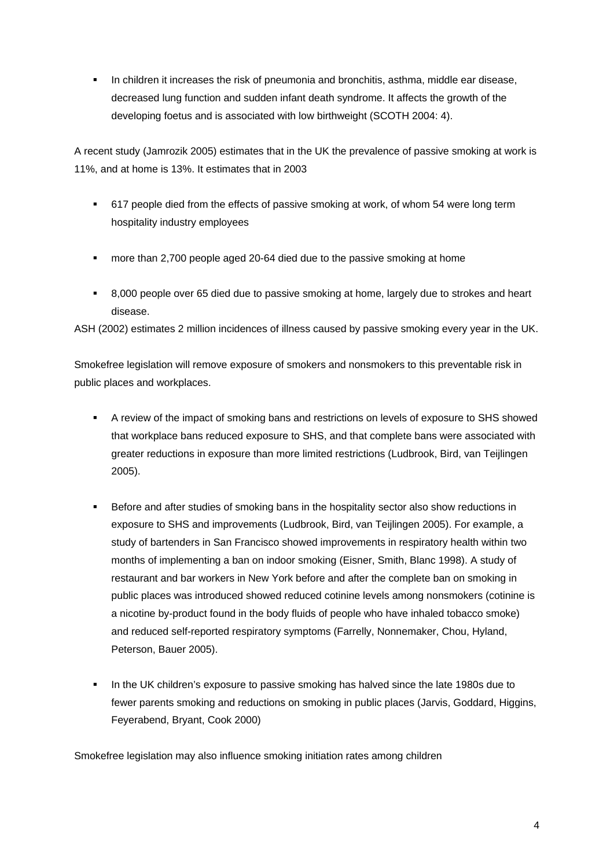**I.** In children it increases the risk of pneumonia and bronchitis, asthma, middle ear disease, decreased lung function and sudden infant death syndrome. It affects the growth of the developing foetus and is associated with low birthweight (SCOTH 2004: 4).

A recent study (Jamrozik 2005) estimates that in the UK the prevalence of passive smoking at work is 11%, and at home is 13%. It estimates that in 2003

- 617 people died from the effects of passive smoking at work, of whom 54 were long term hospitality industry employees
- more than 2,700 people aged 20-64 died due to the passive smoking at home
- 8,000 people over 65 died due to passive smoking at home, largely due to strokes and heart disease.

ASH (2002) estimates 2 million incidences of illness caused by passive smoking every year in the UK.

Smokefree legislation will remove exposure of smokers and nonsmokers to this preventable risk in public places and workplaces.

- A review of the impact of smoking bans and restrictions on levels of exposure to SHS showed that workplace bans reduced exposure to SHS, and that complete bans were associated with greater reductions in exposure than more limited restrictions (Ludbrook, Bird, van Teijlingen 2005).
- Before and after studies of smoking bans in the hospitality sector also show reductions in exposure to SHS and improvements (Ludbrook, Bird, van Teijlingen 2005). For example, a study of bartenders in San Francisco showed improvements in respiratory health within two months of implementing a ban on indoor smoking (Eisner, Smith, Blanc 1998). A study of restaurant and bar workers in New York before and after the complete ban on smoking in public places was introduced showed reduced cotinine levels among nonsmokers (cotinine is a nicotine by-product found in the body fluids of people who have inhaled tobacco smoke) and reduced self-reported respiratory symptoms (Farrelly, Nonnemaker, Chou, Hyland, Peterson, Bauer 2005).
- In the UK children's exposure to passive smoking has halved since the late 1980s due to fewer parents smoking and reductions on smoking in public places (Jarvis, Goddard, Higgins, Feyerabend, Bryant, Cook 2000)

Smokefree legislation may also influence smoking initiation rates among children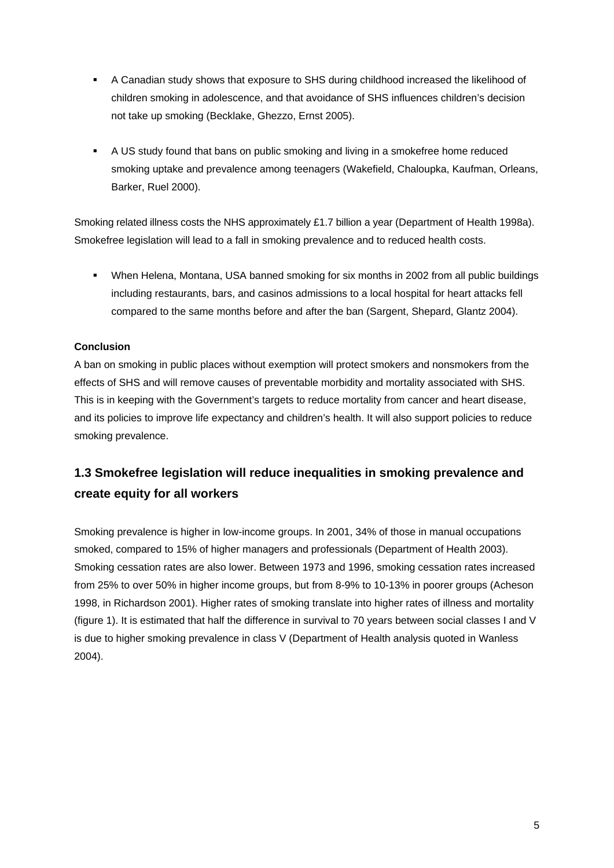- A Canadian study shows that exposure to SHS during childhood increased the likelihood of children smoking in adolescence, and that avoidance of SHS influences children's decision not take up smoking (Becklake, Ghezzo, Ernst 2005).
- A US study found that bans on public smoking and living in a smokefree home reduced smoking uptake and prevalence among teenagers (Wakefield, Chaloupka, Kaufman, Orleans, Barker, Ruel 2000).

Smoking related illness costs the NHS approximately £1.7 billion a year (Department of Health 1998a). Smokefree legislation will lead to a fall in smoking prevalence and to reduced health costs.

 When Helena, Montana, USA banned smoking for six months in 2002 from all public buildings including restaurants, bars, and casinos admissions to a local hospital for heart attacks fell compared to the same months before and after the ban (Sargent, Shepard, Glantz 2004).

### **Conclusion**

A ban on smoking in public places without exemption will protect smokers and nonsmokers from the effects of SHS and will remove causes of preventable morbidity and mortality associated with SHS. This is in keeping with the Government's targets to reduce mortality from cancer and heart disease, and its policies to improve life expectancy and children's health. It will also support policies to reduce smoking prevalence.

# **1.3 Smokefree legislation will reduce inequalities in smoking prevalence and create equity for all workers**

Smoking prevalence is higher in low-income groups. In 2001, 34% of those in manual occupations smoked, compared to 15% of higher managers and professionals (Department of Health 2003). Smoking cessation rates are also lower. Between 1973 and 1996, smoking cessation rates increased from 25% to over 50% in higher income groups, but from 8-9% to 10-13% in poorer groups (Acheson 1998, in Richardson 2001). Higher rates of smoking translate into higher rates of illness and mortality (figure 1). It is estimated that half the difference in survival to 70 years between social classes I and V is due to higher smoking prevalence in class V (Department of Health analysis quoted in Wanless 2004).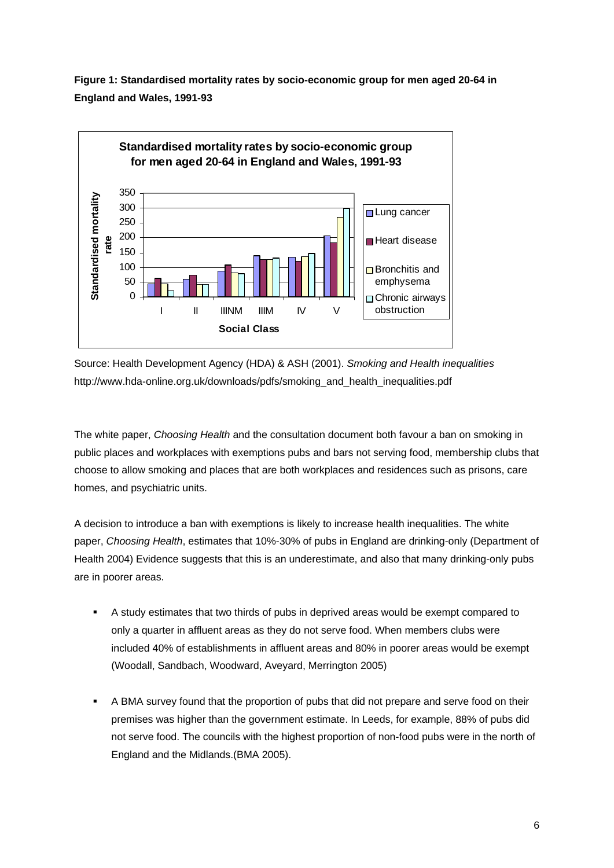**Figure 1: Standardised mortality rates by socio-economic group for men aged 20-64 in England and Wales, 1991-93** 



Source: Health Development Agency (HDA) & ASH (2001). *Smoking and Health inequalities* http://www.hda-online.org.uk/downloads/pdfs/smoking\_and\_health\_inequalities.pdf

The white paper, *Choosing Health* and the consultation document both favour a ban on smoking in public places and workplaces with exemptions pubs and bars not serving food, membership clubs that choose to allow smoking and places that are both workplaces and residences such as prisons, care homes, and psychiatric units.

A decision to introduce a ban with exemptions is likely to increase health inequalities. The white paper, *Choosing Health*, estimates that 10%-30% of pubs in England are drinking-only (Department of Health 2004) Evidence suggests that this is an underestimate, and also that many drinking-only pubs are in poorer areas.

- A study estimates that two thirds of pubs in deprived areas would be exempt compared to only a quarter in affluent areas as they do not serve food. When members clubs were included 40% of establishments in affluent areas and 80% in poorer areas would be exempt (Woodall, Sandbach, Woodward, Aveyard, Merrington 2005)
- A BMA survey found that the proportion of pubs that did not prepare and serve food on their premises was higher than the government estimate. In Leeds, for example, 88% of pubs did not serve food. The councils with the highest proportion of non-food pubs were in the north of England and the Midlands.(BMA 2005).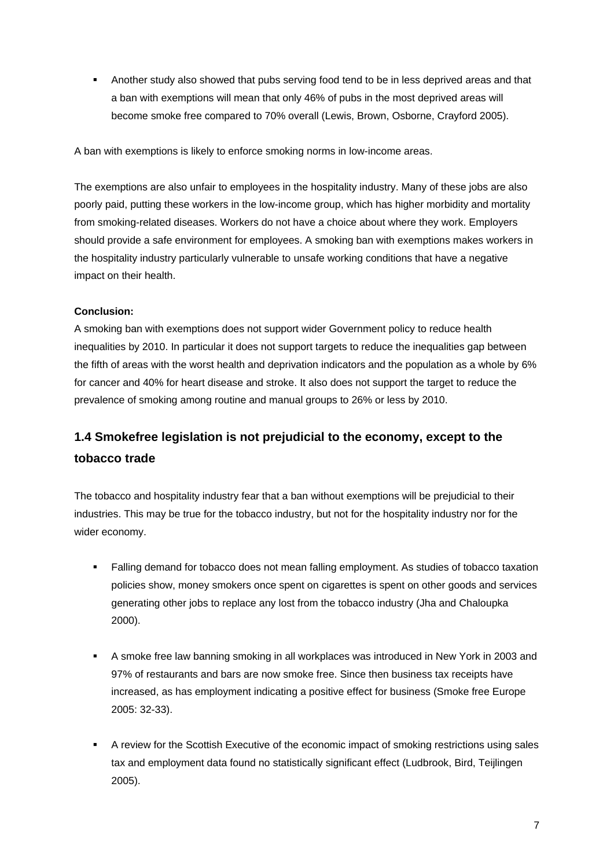**Another study also showed that pubs serving food tend to be in less deprived areas and that** a ban with exemptions will mean that only 46% of pubs in the most deprived areas will become smoke free compared to 70% overall (Lewis, Brown, Osborne, Crayford 2005).

A ban with exemptions is likely to enforce smoking norms in low-income areas.

The exemptions are also unfair to employees in the hospitality industry. Many of these jobs are also poorly paid, putting these workers in the low-income group, which has higher morbidity and mortality from smoking-related diseases. Workers do not have a choice about where they work. Employers should provide a safe environment for employees. A smoking ban with exemptions makes workers in the hospitality industry particularly vulnerable to unsafe working conditions that have a negative impact on their health.

### **Conclusion:**

A smoking ban with exemptions does not support wider Government policy to reduce health inequalities by 2010. In particular it does not support targets to reduce the inequalities gap between the fifth of areas with the worst health and deprivation indicators and the population as a whole by 6% for cancer and 40% for heart disease and stroke. It also does not support the target to reduce the prevalence of smoking among routine and manual groups to 26% or less by 2010.

# **1.4 Smokefree legislation is not prejudicial to the economy, except to the tobacco trade**

The tobacco and hospitality industry fear that a ban without exemptions will be prejudicial to their industries. This may be true for the tobacco industry, but not for the hospitality industry nor for the wider economy.

- Falling demand for tobacco does not mean falling employment. As studies of tobacco taxation policies show, money smokers once spent on cigarettes is spent on other goods and services generating other jobs to replace any lost from the tobacco industry (Jha and Chaloupka 2000).
- A smoke free law banning smoking in all workplaces was introduced in New York in 2003 and 97% of restaurants and bars are now smoke free. Since then business tax receipts have increased, as has employment indicating a positive effect for business (Smoke free Europe 2005: 32-33).
- A review for the Scottish Executive of the economic impact of smoking restrictions using sales tax and employment data found no statistically significant effect (Ludbrook, Bird, Teijlingen 2005).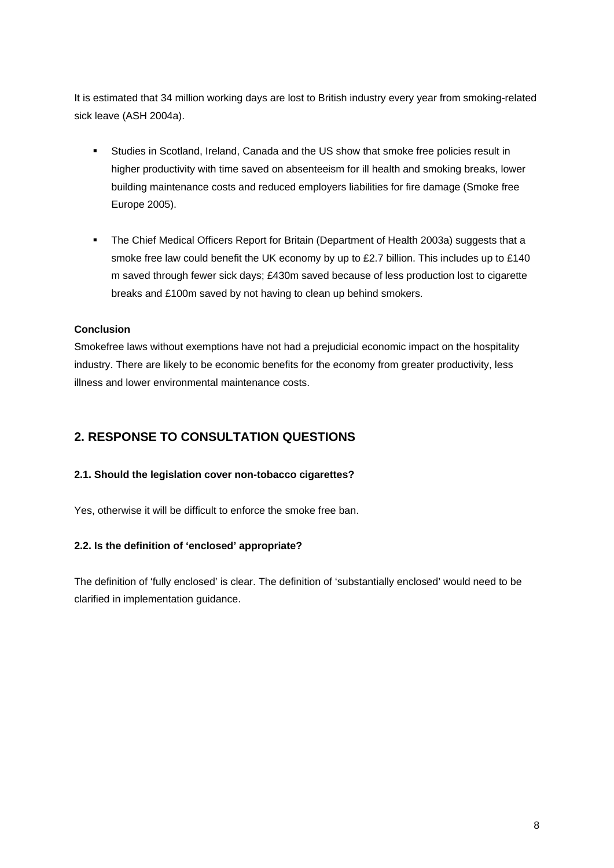It is estimated that 34 million working days are lost to British industry every year from smoking-related sick leave (ASH 2004a).

- Studies in Scotland, Ireland, Canada and the US show that smoke free policies result in higher productivity with time saved on absenteeism for ill health and smoking breaks, lower building maintenance costs and reduced employers liabilities for fire damage (Smoke free Europe 2005).
- The Chief Medical Officers Report for Britain (Department of Health 2003a) suggests that a smoke free law could benefit the UK economy by up to £2.7 billion. This includes up to £140 m saved through fewer sick days; £430m saved because of less production lost to cigarette breaks and £100m saved by not having to clean up behind smokers.

### **Conclusion**

Smokefree laws without exemptions have not had a prejudicial economic impact on the hospitality industry. There are likely to be economic benefits for the economy from greater productivity, less illness and lower environmental maintenance costs.

## **2. RESPONSE TO CONSULTATION QUESTIONS**

### **2.1. Should the legislation cover non-tobacco cigarettes?**

Yes, otherwise it will be difficult to enforce the smoke free ban.

### **2.2. Is the definition of 'enclosed' appropriate?**

The definition of 'fully enclosed' is clear. The definition of 'substantially enclosed' would need to be clarified in implementation guidance.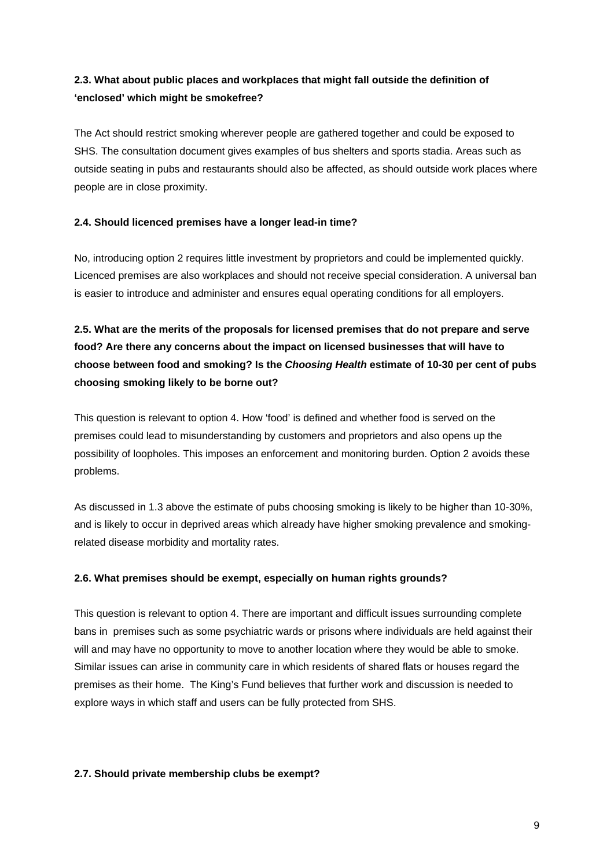## **2.3. What about public places and workplaces that might fall outside the definition of 'enclosed' which might be smokefree?**

The Act should restrict smoking wherever people are gathered together and could be exposed to SHS. The consultation document gives examples of bus shelters and sports stadia. Areas such as outside seating in pubs and restaurants should also be affected, as should outside work places where people are in close proximity.

### **2.4. Should licenced premises have a longer lead-in time?**

No, introducing option 2 requires little investment by proprietors and could be implemented quickly. Licenced premises are also workplaces and should not receive special consideration. A universal ban is easier to introduce and administer and ensures equal operating conditions for all employers.

# **2.5. What are the merits of the proposals for licensed premises that do not prepare and serve food? Are there any concerns about the impact on licensed businesses that will have to choose between food and smoking? Is the** *Choosing Health* **estimate of 10-30 per cent of pubs choosing smoking likely to be borne out?**

This question is relevant to option 4. How 'food' is defined and whether food is served on the premises could lead to misunderstanding by customers and proprietors and also opens up the possibility of loopholes. This imposes an enforcement and monitoring burden. Option 2 avoids these problems.

As discussed in 1.3 above the estimate of pubs choosing smoking is likely to be higher than 10-30%, and is likely to occur in deprived areas which already have higher smoking prevalence and smokingrelated disease morbidity and mortality rates.

### **2.6. What premises should be exempt, especially on human rights grounds?**

This question is relevant to option 4. There are important and difficult issues surrounding complete bans in premises such as some psychiatric wards or prisons where individuals are held against their will and may have no opportunity to move to another location where they would be able to smoke. Similar issues can arise in community care in which residents of shared flats or houses regard the premises as their home. The King's Fund believes that further work and discussion is needed to explore ways in which staff and users can be fully protected from SHS.

### **2.7. Should private membership clubs be exempt?**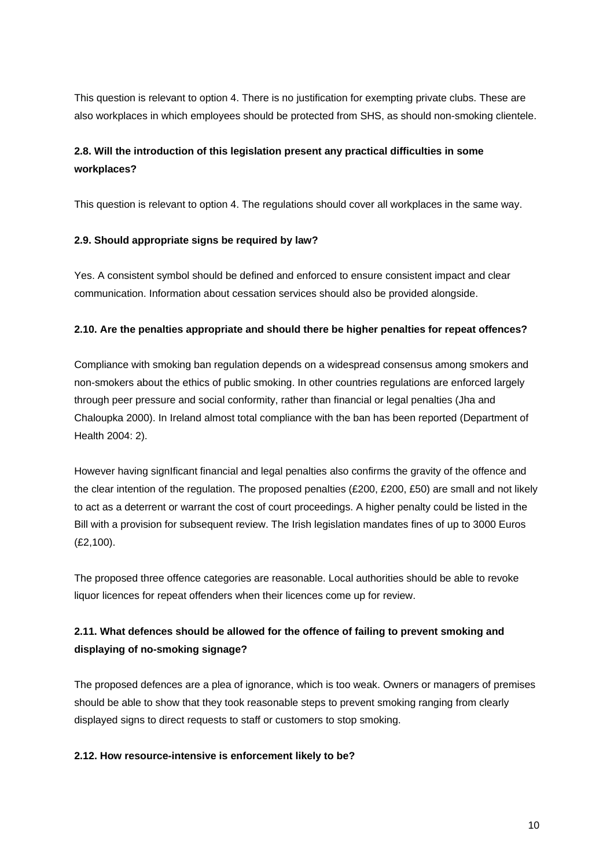This question is relevant to option 4. There is no justification for exempting private clubs. These are also workplaces in which employees should be protected from SHS, as should non-smoking clientele.

## **2.8. Will the introduction of this legislation present any practical difficulties in some workplaces?**

This question is relevant to option 4. The regulations should cover all workplaces in the same way.

### **2.9. Should appropriate signs be required by law?**

Yes. A consistent symbol should be defined and enforced to ensure consistent impact and clear communication. Information about cessation services should also be provided alongside.

### **2.10. Are the penalties appropriate and should there be higher penalties for repeat offences?**

Compliance with smoking ban regulation depends on a widespread consensus among smokers and non-smokers about the ethics of public smoking. In other countries regulations are enforced largely through peer pressure and social conformity, rather than financial or legal penalties (Jha and Chaloupka 2000). In Ireland almost total compliance with the ban has been reported (Department of Health 2004: 2).

However having signIficant financial and legal penalties also confirms the gravity of the offence and the clear intention of the regulation. The proposed penalties (£200, £200, £50) are small and not likely to act as a deterrent or warrant the cost of court proceedings. A higher penalty could be listed in the Bill with a provision for subsequent review. The Irish legislation mandates fines of up to 3000 Euros (£2,100).

The proposed three offence categories are reasonable. Local authorities should be able to revoke liquor licences for repeat offenders when their licences come up for review.

## **2.11. What defences should be allowed for the offence of failing to prevent smoking and displaying of no-smoking signage?**

The proposed defences are a plea of ignorance, which is too weak. Owners or managers of premises should be able to show that they took reasonable steps to prevent smoking ranging from clearly displayed signs to direct requests to staff or customers to stop smoking.

### **2.12. How resource-intensive is enforcement likely to be?**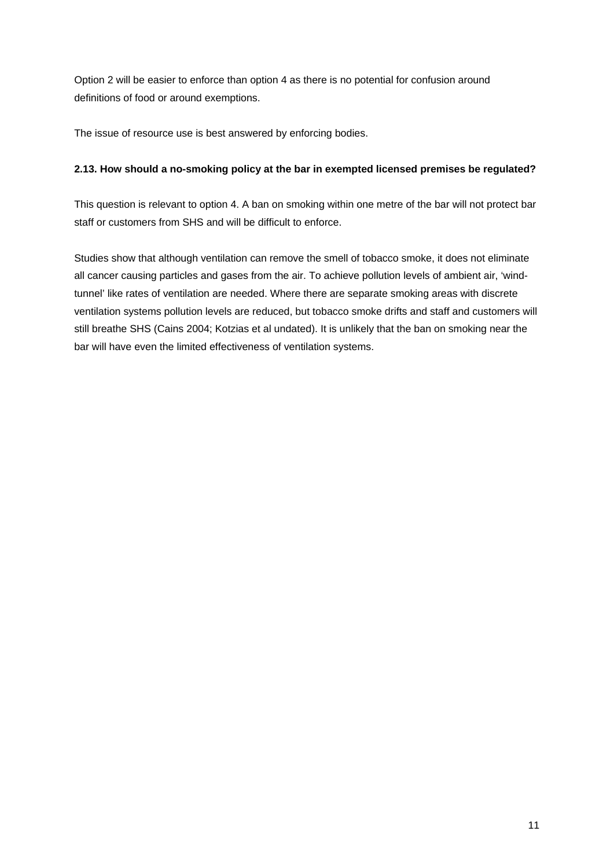Option 2 will be easier to enforce than option 4 as there is no potential for confusion around definitions of food or around exemptions.

The issue of resource use is best answered by enforcing bodies.

### **2.13. How should a no-smoking policy at the bar in exempted licensed premises be regulated?**

This question is relevant to option 4. A ban on smoking within one metre of the bar will not protect bar staff or customers from SHS and will be difficult to enforce.

Studies show that although ventilation can remove the smell of tobacco smoke, it does not eliminate all cancer causing particles and gases from the air. To achieve pollution levels of ambient air, 'windtunnel' like rates of ventilation are needed. Where there are separate smoking areas with discrete ventilation systems pollution levels are reduced, but tobacco smoke drifts and staff and customers will still breathe SHS (Cains 2004; Kotzias et al undated). It is unlikely that the ban on smoking near the bar will have even the limited effectiveness of ventilation systems.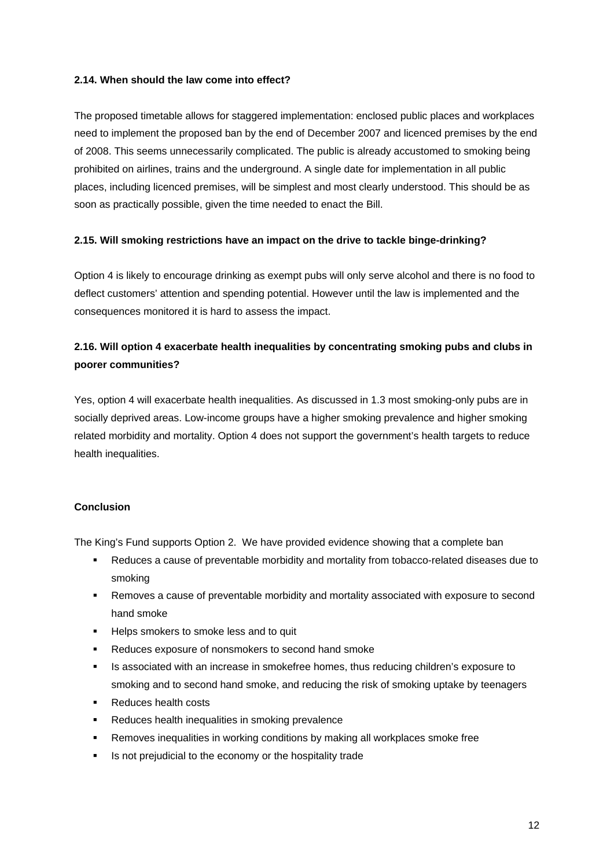### **2.14. When should the law come into effect?**

The proposed timetable allows for staggered implementation: enclosed public places and workplaces need to implement the proposed ban by the end of December 2007 and licenced premises by the end of 2008. This seems unnecessarily complicated. The public is already accustomed to smoking being prohibited on airlines, trains and the underground. A single date for implementation in all public places, including licenced premises, will be simplest and most clearly understood. This should be as soon as practically possible, given the time needed to enact the Bill.

### **2.15. Will smoking restrictions have an impact on the drive to tackle binge-drinking?**

Option 4 is likely to encourage drinking as exempt pubs will only serve alcohol and there is no food to deflect customers' attention and spending potential. However until the law is implemented and the consequences monitored it is hard to assess the impact.

## **2.16. Will option 4 exacerbate health inequalities by concentrating smoking pubs and clubs in poorer communities?**

Yes, option 4 will exacerbate health inequalities. As discussed in 1.3 most smoking-only pubs are in socially deprived areas. Low-income groups have a higher smoking prevalence and higher smoking related morbidity and mortality. Option 4 does not support the government's health targets to reduce health inequalities.

### **Conclusion**

The King's Fund supports Option 2. We have provided evidence showing that a complete ban

- Reduces a cause of preventable morbidity and mortality from tobacco-related diseases due to smoking
- Removes a cause of preventable morbidity and mortality associated with exposure to second hand smoke
- **Helps smokers to smoke less and to quit**
- **Reduces exposure of nonsmokers to second hand smoke**
- **IS associated with an increase in smokefree homes, thus reducing children's exposure to** smoking and to second hand smoke, and reducing the risk of smoking uptake by teenagers
- Reduces health costs
- **Reduces health inequalities in smoking prevalence**
- Removes inequalities in working conditions by making all workplaces smoke free
- **IS not prejudicial to the economy or the hospitality trade**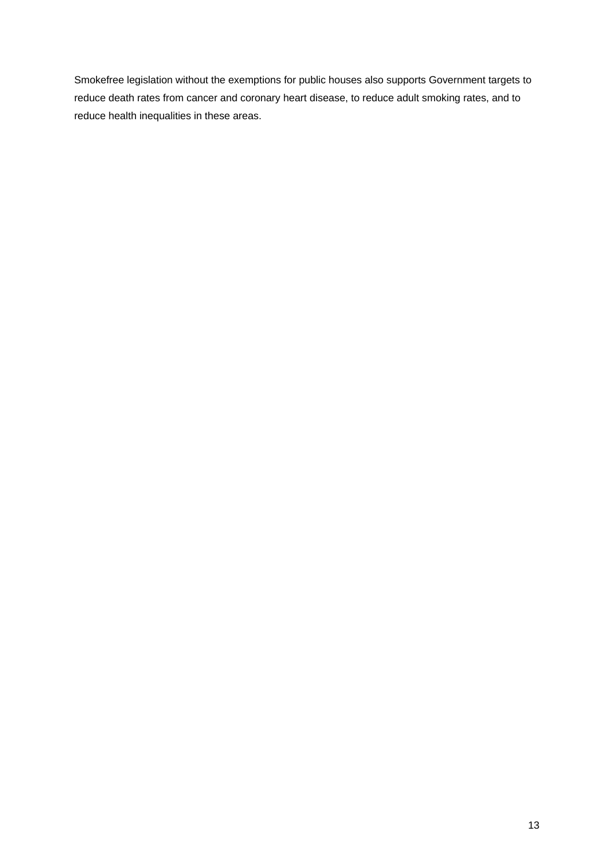Smokefree legislation without the exemptions for public houses also supports Government targets to reduce death rates from cancer and coronary heart disease, to reduce adult smoking rates, and to reduce health inequalities in these areas.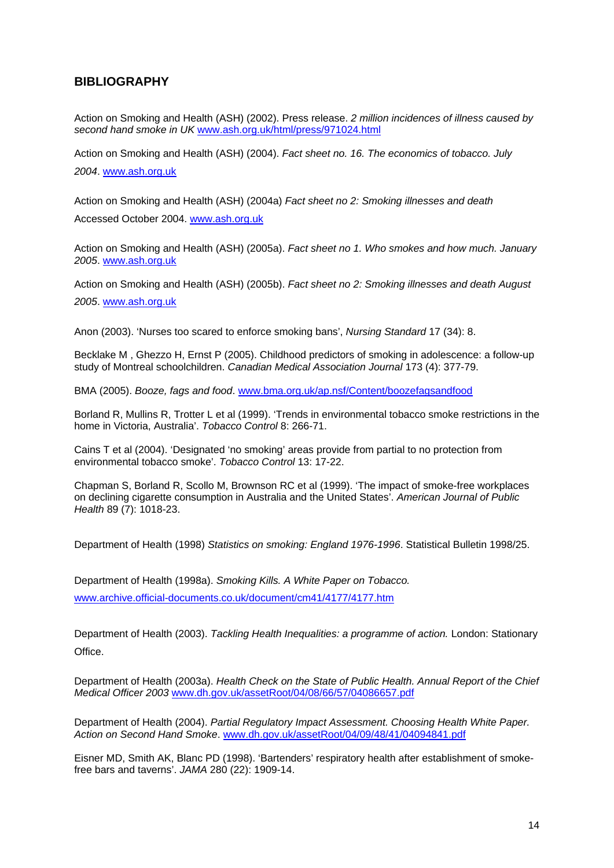### **BIBLIOGRAPHY**

Action on Smoking and Health (ASH) (2002). Press release. *2 million incidences of illness caused by second hand smoke in UK* [www.ash.org.uk/html/press/971024.html](http://www.ash.org.uk/html/press/971024.html)

Action on Smoking and Health (ASH) (2004). *Fact sheet no. 16. The economics of tobacco. July 2004*. [www.ash.org.uk](http://www.ash.org.uk/)

Action on Smoking and Health (ASH) (2004a) *Fact sheet no 2: Smoking illnesses and death*  Accessed October 2004. [www.ash.org.uk](http://www.ash.org.uk/)

Action on Smoking and Health (ASH) (2005a). *Fact sheet no 1. Who smokes and how much. January 2005*. [www.ash.org.uk](http://www.ash.org.uk/)

Action on Smoking and Health (ASH) (2005b). *Fact sheet no 2: Smoking illnesses and death August 2005*. [www.ash.org.uk](http://www.ash.org.uk/)

Anon (2003). 'Nurses too scared to enforce smoking bans', *Nursing Standard* 17 (34): 8.

Becklake M , Ghezzo H, Ernst P (2005). Childhood predictors of smoking in adolescence: a follow-up study of Montreal schoolchildren. *Canadian Medical Association Journal* 173 (4): 377-79.

BMA (2005). *Booze, fags and food*. [www.bma.org.uk/ap.nsf/Content/boozefagsandfood](http://www.bma.org.uk/ap.nsf/Content/boozefagsandfood)

Borland R, Mullins R, Trotter L et al (1999). 'Trends in environmental tobacco smoke restrictions in the home in Victoria, Australia'. *Tobacco Control* 8: 266-71.

Cains T et al (2004). 'Designated 'no smoking' areas provide from partial to no protection from environmental tobacco smoke'. *Tobacco Control* 13: 17-22.

Chapman S, Borland R, Scollo M, Brownson RC et al (1999). 'The impact of smoke-free workplaces on declining cigarette consumption in Australia and the United States'. *American Journal of Public Health* 89 (7): 1018-23.

Department of Health (1998) *Statistics on smoking: England 1976-1996*. Statistical Bulletin 1998/25.

Department of Health (1998a). *Smoking Kills. A White Paper on Tobacco.*  [www.archive.official-documents.co.uk/document/cm41/4177/4177.htm](http://www.archive.official-documents.co.uk/document/cm41/4177/4177.htm)

Department of Health (2003). *Tackling Health Inequalities: a programme of action.* London: Stationary Office.

Department of Health (2003a). *Health Check on the State of Public Health. Annual Report of the Chief Medical Officer 2003* [www.dh.gov.uk/assetRoot/04/08/66/57/04086657.pdf](http://www.dh.gov.uk/assetRoot/04/08/66/57/04086657.pdf)

Department of Health (2004). *Partial Regulatory Impact Assessment. Choosing Health White Paper. Action on Second Hand Smoke*. [www.dh.gov.uk/assetRoot/04/09/48/41/04094841.pdf](http://www.dh.gov.uk/assetRoot/04/09/48/41/04094841.pdf)

Eisner MD, Smith AK, Blanc PD (1998). 'Bartenders' respiratory health after establishment of smokefree bars and taverns'. *JAMA* 280 (22): 1909-14.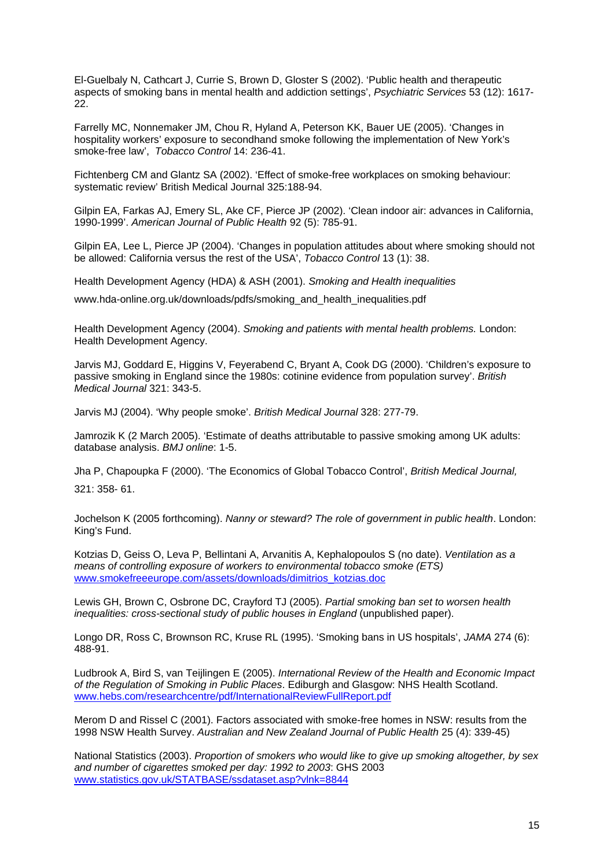El-Guelbaly N, Cathcart J, Currie S, Brown D, Gloster S (2002). 'Public health and therapeutic aspects of smoking bans in mental health and addiction settings', *Psychiatric Services* 53 (12): 1617- 22.

Farrelly MC, Nonnemaker JM, Chou R, Hyland A, Peterson KK, Bauer UE (2005). 'Changes in hospitality workers' exposure to secondhand smoke following the implementation of New York's smoke-free law', *Tobacco Control* 14: 236-41.

Fichtenberg CM and Glantz SA (2002). 'Effect of smoke-free workplaces on smoking behaviour: systematic review' British Medical Journal 325:188-94.

Gilpin EA, Farkas AJ, Emery SL, Ake CF, Pierce JP (2002). 'Clean indoor air: advances in California, 1990-1999'. *American Journal of Public Health* 92 (5): 785-91.

Gilpin EA, Lee L, Pierce JP (2004). 'Changes in population attitudes about where smoking should not be allowed: California versus the rest of the USA', *Tobacco Control* 13 (1): 38.

Health Development Agency (HDA) & ASH (2001). *Smoking and Health inequalities*

www.hda-online.org.uk/downloads/pdfs/smoking\_and\_health\_inequalities.pdf

Health Development Agency (2004). *Smoking and patients with mental health problems.* London: Health Development Agency.

Jarvis MJ, Goddard E, Higgins V, Feyerabend C, Bryant A, Cook DG (2000). 'Children's exposure to passive smoking in England since the 1980s: cotinine evidence from population survey'. *British Medical Journal* 321: 343-5.

Jarvis MJ (2004). 'Why people smoke'. *British Medical Journal* 328: 277-79.

Jamrozik K (2 March 2005). 'Estimate of deaths attributable to passive smoking among UK adults: database analysis. *BMJ online*: 1-5.

Jha P, Chapoupka F (2000). 'The Economics of Global Tobacco Control', *British Medical Journal,* 321: 358- 61.

Jochelson K (2005 forthcoming). *Nanny or steward? The role of government in public health*. London: King's Fund.

Kotzias D, Geiss O, Leva P, Bellintani A, Arvanitis A, Kephalopoulos S (no date). *Ventilation as a means of controlling exposure of workers to environmental tobacco smoke (ETS)* [www.smokefreeeurope.com/assets/downloads/dimitrios\\_kotzias.doc](http://www.smokefreeeurope.com/assets/downloads/dimitrios_kotzias.doc)

Lewis GH, Brown C, Osbrone DC, Crayford TJ (2005). *Partial smoking ban set to worsen health inequalities: cross-sectional study of public houses in England* (unpublished paper).

Longo DR, Ross C, Brownson RC, Kruse RL (1995). 'Smoking bans in US hospitals', *JAMA* 274 (6): 488-91.

Ludbrook A, Bird S, van Teijlingen E (2005). *International Review of the Health and Economic Impact of the Regulation of Smoking in Public Places*. Ediburgh and Glasgow: NHS Health Scotland. [www.hebs.com/researchcentre/pdf/InternationalReviewFullReport.pdf](http://www.hebs.com/researchcentre/pdf/InternationalReviewFullReport.pdf)

Merom D and Rissel C (2001). Factors associated with smoke-free homes in NSW: results from the 1998 NSW Health Survey. *Australian and New Zealand Journal of Public Health* 25 (4): 339-45)

National Statistics (2003). *Proportion of smokers who would like to give up smoking altogether, by sex and number of cigarettes smoked per day: 1992 to 2003*: GHS 2003 [www.statistics.gov.uk/STATBASE/ssdataset.asp?vlnk=8844](http://www.statistics.gov.uk/STATBASE/ssdataset.asp?vlnk=8844)